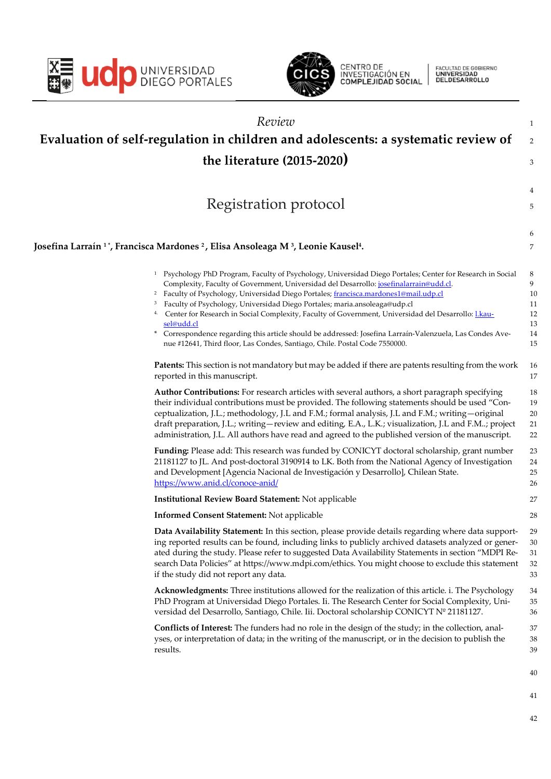



CENTRO DE<br>INVESTIGACIÓN EN<br>**COMPLEJIDAD SOCIAL** 

FACULTAD DE GOBIERNO<br>**UNIVERSIDAD**<br>DELDESARROLLO

|     | Review                                                                                                                                                                                                                                                                                                                                                                                                                                                                                                                                                                                                                                                                                                                 | $\mathbf{1}$                               |
|-----|------------------------------------------------------------------------------------------------------------------------------------------------------------------------------------------------------------------------------------------------------------------------------------------------------------------------------------------------------------------------------------------------------------------------------------------------------------------------------------------------------------------------------------------------------------------------------------------------------------------------------------------------------------------------------------------------------------------------|--------------------------------------------|
|     | Evaluation of self-regulation in children and adolescents: a systematic review of                                                                                                                                                                                                                                                                                                                                                                                                                                                                                                                                                                                                                                      | 2                                          |
|     | the literature $(2015-2020)$                                                                                                                                                                                                                                                                                                                                                                                                                                                                                                                                                                                                                                                                                           | 3                                          |
|     |                                                                                                                                                                                                                                                                                                                                                                                                                                                                                                                                                                                                                                                                                                                        |                                            |
|     |                                                                                                                                                                                                                                                                                                                                                                                                                                                                                                                                                                                                                                                                                                                        | 4                                          |
|     | Registration protocol                                                                                                                                                                                                                                                                                                                                                                                                                                                                                                                                                                                                                                                                                                  | 5                                          |
|     |                                                                                                                                                                                                                                                                                                                                                                                                                                                                                                                                                                                                                                                                                                                        | 6                                          |
|     | Josefina Larraín 1*, Francisca Mardones <sup>2</sup> , Elisa Ansoleaga M <sup>3</sup> , Leonie Kausel <del>'</del> .                                                                                                                                                                                                                                                                                                                                                                                                                                                                                                                                                                                                   | 7                                          |
| $*$ | <sup>1</sup> Psychology PhD Program, Faculty of Psychology, Universidad Diego Portales; Center for Research in Social<br>Complexity, Faculty of Government, Universidad del Desarrollo: josefinalarrain@udd.cl.<br><sup>2</sup> Faculty of Psychology, Universidad Diego Portales; francisca.mardones1@mail.udp.cl<br>Faculty of Psychology, Universidad Diego Portales; maria.ansoleaga@udp.cl<br>4. Center for Research in Social Complexity, Faculty of Government, Universidad del Desarrollo: <i>Lkau-</i><br>sel@udd.cl<br>Correspondence regarding this article should be addressed: Josefina Larraín-Valenzuela, Las Condes Ave-<br>nue #12641, Third floor, Las Condes, Santiago, Chile. Postal Code 7550000. | 8<br>9<br>10<br>11<br>12<br>13<br>14<br>15 |
|     | Patents: This section is not mandatory but may be added if there are patents resulting from the work<br>reported in this manuscript.                                                                                                                                                                                                                                                                                                                                                                                                                                                                                                                                                                                   | 16<br>17                                   |
|     | Author Contributions: For research articles with several authors, a short paragraph specifying<br>their individual contributions must be provided. The following statements should be used "Con-<br>ceptualization, J.L.; methodology, J.L and F.M.; formal analysis, J.L and F.M.; writing - original<br>draft preparation, J.L.; writing-review and editing, E.A., L.K.; visualization, J.L and F.M; project<br>administration, J.L. All authors have read and agreed to the published version of the manuscript.                                                                                                                                                                                                    | 18<br>19<br>20<br>21<br>22                 |
|     | Funding: Please add: This research was funded by CONICYT doctoral scholarship, grant number<br>21181127 to JL. And post-doctoral 3190914 to LK. Both from the National Agency of Investigation<br>and Development [Agencia Nacional de Investigación y Desarrollo], Chilean State.<br>https://www.anid.cl/conoce-anid/                                                                                                                                                                                                                                                                                                                                                                                                 | 23<br>24<br>25<br>26                       |
|     | <b>Institutional Review Board Statement: Not applicable</b>                                                                                                                                                                                                                                                                                                                                                                                                                                                                                                                                                                                                                                                            | 27                                         |
|     | <b>Informed Consent Statement: Not applicable</b>                                                                                                                                                                                                                                                                                                                                                                                                                                                                                                                                                                                                                                                                      | 28                                         |
|     | Data Availability Statement: In this section, please provide details regarding where data support-<br>ing reported results can be found, including links to publicly archived datasets analyzed or gener-<br>ated during the study. Please refer to suggested Data Availability Statements in section "MDPI Re-<br>search Data Policies" at https://www.mdpi.com/ethics. You might choose to exclude this statement<br>if the study did not report any data.                                                                                                                                                                                                                                                           | 29<br>30<br>31<br>32<br>33                 |
|     | Acknowledgments: Three institutions allowed for the realization of this article. i. The Psychology<br>PhD Program at Universidad Diego Portales. Ii. The Research Center for Social Complexity, Uni-<br>versidad del Desarrollo, Santiago, Chile. Iii. Doctoral scholarship CONICYT Nº 21181127.                                                                                                                                                                                                                                                                                                                                                                                                                       | 34<br>35<br>36                             |
|     | <b>Conflicts of Interest:</b> The funders had no role in the design of the study; in the collection, anal-<br>yses, or interpretation of data; in the writing of the manuscript, or in the decision to publish the<br>results.                                                                                                                                                                                                                                                                                                                                                                                                                                                                                         | 37<br>38<br>39                             |
|     |                                                                                                                                                                                                                                                                                                                                                                                                                                                                                                                                                                                                                                                                                                                        | 40                                         |
|     |                                                                                                                                                                                                                                                                                                                                                                                                                                                                                                                                                                                                                                                                                                                        | 41                                         |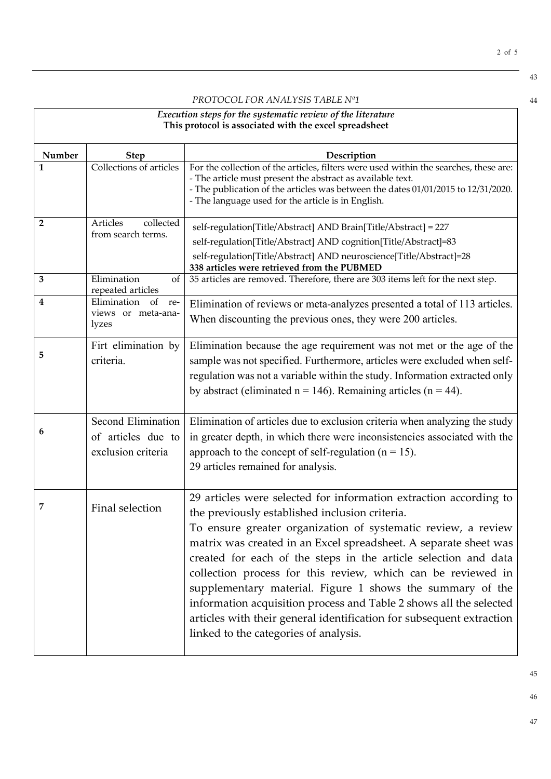*PROTOCOL FOR ANALYSIS TABLE Nº1* 44

| Execution steps for the systematic review of the literature<br>This protocol is associated with the excel spreadsheet |                                                                       |                                                                                                                                                                                                                                                                                                                                                                                                                                                                                                                                                                                                                                                 |  |
|-----------------------------------------------------------------------------------------------------------------------|-----------------------------------------------------------------------|-------------------------------------------------------------------------------------------------------------------------------------------------------------------------------------------------------------------------------------------------------------------------------------------------------------------------------------------------------------------------------------------------------------------------------------------------------------------------------------------------------------------------------------------------------------------------------------------------------------------------------------------------|--|
| Number                                                                                                                | <b>Step</b>                                                           | Description                                                                                                                                                                                                                                                                                                                                                                                                                                                                                                                                                                                                                                     |  |
| 1                                                                                                                     | Collections of articles                                               | For the collection of the articles, filters were used within the searches, these are:<br>- The article must present the abstract as available text.<br>- The publication of the articles was between the dates 01/01/2015 to 12/31/2020.<br>- The language used for the article is in English.                                                                                                                                                                                                                                                                                                                                                  |  |
| 2                                                                                                                     | collected<br>Articles<br>from search terms.                           | self-regulation[Title/Abstract] AND Brain[Title/Abstract] = 227                                                                                                                                                                                                                                                                                                                                                                                                                                                                                                                                                                                 |  |
|                                                                                                                       |                                                                       | self-regulation[Title/Abstract] AND cognition[Title/Abstract]=83                                                                                                                                                                                                                                                                                                                                                                                                                                                                                                                                                                                |  |
|                                                                                                                       |                                                                       | self-regulation[Title/Abstract] AND neuroscience[Title/Abstract]=28<br>338 articles were retrieved from the PUBMED                                                                                                                                                                                                                                                                                                                                                                                                                                                                                                                              |  |
| 3                                                                                                                     | Elimination<br>of<br>repeated articles                                | 35 articles are removed. Therefore, there are 303 items left for the next step.                                                                                                                                                                                                                                                                                                                                                                                                                                                                                                                                                                 |  |
| 4                                                                                                                     | Elimination<br>of<br>re-<br>views or meta-ana-<br>lyzes               | Elimination of reviews or meta-analyzes presented a total of 113 articles.<br>When discounting the previous ones, they were 200 articles.                                                                                                                                                                                                                                                                                                                                                                                                                                                                                                       |  |
| 5                                                                                                                     | Firt elimination by<br>criteria.                                      | Elimination because the age requirement was not met or the age of the<br>sample was not specified. Furthermore, articles were excluded when self-<br>regulation was not a variable within the study. Information extracted only<br>by abstract (eliminated $n = 146$ ). Remaining articles ( $n = 44$ ).                                                                                                                                                                                                                                                                                                                                        |  |
| 6                                                                                                                     | <b>Second Elimination</b><br>of articles due to<br>exclusion criteria | Elimination of articles due to exclusion criteria when analyzing the study<br>in greater depth, in which there were inconsistencies associated with the<br>approach to the concept of self-regulation ( $n = 15$ ).<br>29 articles remained for analysis.                                                                                                                                                                                                                                                                                                                                                                                       |  |
| 7                                                                                                                     | Final selection                                                       | 29 articles were selected for information extraction according to<br>the previously established inclusion criteria.<br>To ensure greater organization of systematic review, a review<br>matrix was created in an Excel spreadsheet. A separate sheet was<br>created for each of the steps in the article selection and data<br>collection process for this review, which can be reviewed in<br>supplementary material. Figure 1 shows the summary of the<br>information acquisition process and Table 2 shows all the selected<br>articles with their general identification for subsequent extraction<br>linked to the categories of analysis. |  |

45 46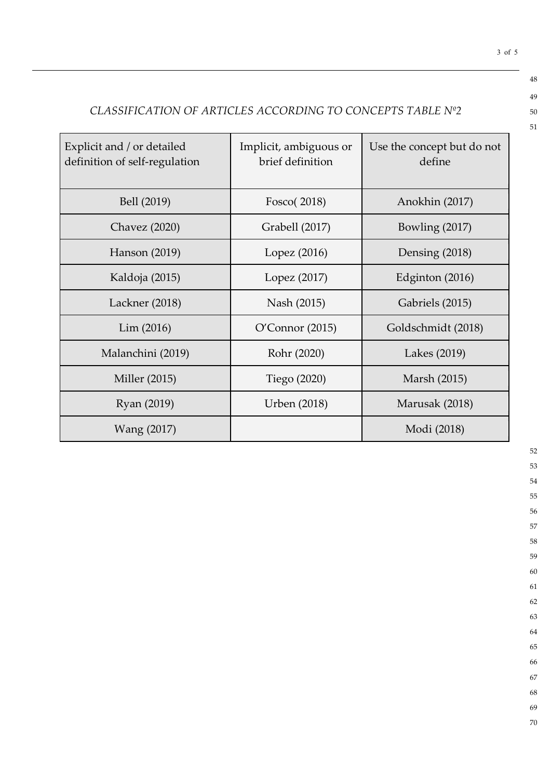## *CLASSIFICATION OF ARTICLES ACCORDING TO CONCEPTS TABLE Nº2* 50

| Explicit and / or detailed<br>definition of self-regulation | Implicit, ambiguous or<br>brief definition | Use the concept but do not<br>define |  |
|-------------------------------------------------------------|--------------------------------------------|--------------------------------------|--|
| Bell (2019)                                                 | Fosco(2018)                                | Anokhin (2017)                       |  |
| <b>Chavez</b> (2020)                                        | Grabell (2017)                             | Bowling $(2017)$                     |  |
| Hanson (2019)                                               | Lopez $(2016)$                             | Densing (2018)                       |  |
| Kaldoja (2015)                                              | Lopez (2017)                               | Edginton $(2016)$                    |  |
| Lackner (2018)                                              | Nash (2015)                                | Gabriels (2015)                      |  |
| Lim (2016)                                                  | O'Connor(2015)                             | Goldschmidt (2018)                   |  |
| Malanchini (2019)                                           | Rohr (2020)                                | Lakes (2019)                         |  |
| Miller (2015)                                               | Tiego (2020)                               | Marsh (2015)                         |  |
| Ryan (2019)                                                 | Urben (2018)                               | Marusak (2018)                       |  |
| Wang (2017)                                                 |                                            | Modi (2018)                          |  |

52

3 of 5

48 49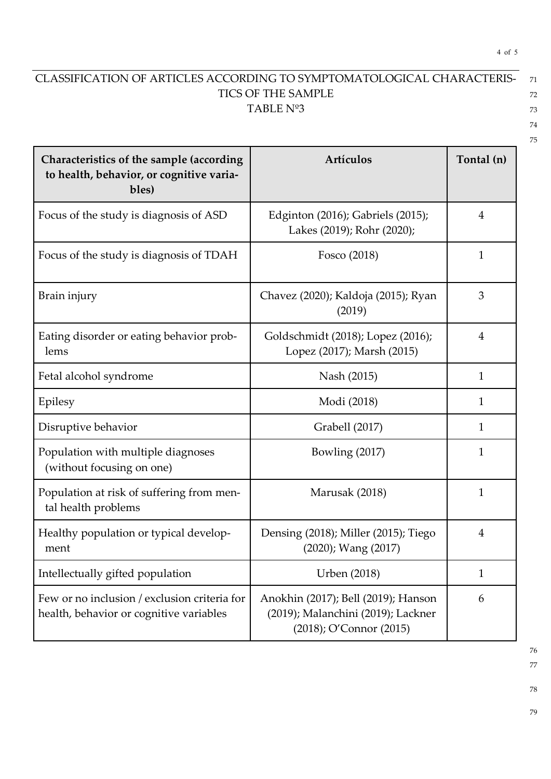## CLASSIFICATION OF ARTICLES ACCORDING TO SYMPTOMATOLOGICAL CHARACTERIS- <sup>71</sup> TICS OF THE SAMPLE 72 TABLE  $N^{\circ}3$  73

4 of 5

| Characteristics of the sample (according<br>to health, behavior, or cognitive varia-<br>bles) | Artículos                                                                                            | Tontal (n)     |
|-----------------------------------------------------------------------------------------------|------------------------------------------------------------------------------------------------------|----------------|
| Focus of the study is diagnosis of ASD                                                        | Edginton (2016); Gabriels (2015);<br>Lakes (2019); Rohr (2020);                                      | $\overline{4}$ |
| Focus of the study is diagnosis of TDAH                                                       | Fosco (2018)                                                                                         | 1              |
| Brain injury                                                                                  | Chavez (2020); Kaldoja (2015); Ryan<br>(2019)                                                        | 3              |
| Eating disorder or eating behavior prob-<br>lems                                              | Goldschmidt (2018); Lopez (2016);<br>Lopez (2017); Marsh (2015)                                      | $\overline{4}$ |
| Fetal alcohol syndrome                                                                        | Nash (2015)                                                                                          | $\mathbf{1}$   |
| Epilesy                                                                                       | Modi (2018)                                                                                          | 1              |
| Disruptive behavior                                                                           | Grabell (2017)                                                                                       | 1              |
| Population with multiple diagnoses<br>(without focusing on one)                               | Bowling (2017)                                                                                       | $\mathbf{1}$   |
| Population at risk of suffering from men-<br>tal health problems                              | Marusak (2018)                                                                                       | $\mathbf{1}$   |
| Healthy population or typical develop-<br>ment                                                | Densing (2018); Miller (2015); Tiego<br>(2020); Wang (2017)                                          | $\overline{4}$ |
| Intellectually gifted population                                                              | <b>Urben</b> (2018)                                                                                  | $\mathbf{1}$   |
| Few or no inclusion / exclusion criteria for<br>health, behavior or cognitive variables       | Anokhin (2017); Bell (2019); Hanson<br>(2019); Malanchini (2019); Lackner<br>(2018); O'Connor (2015) | 6              |

76 77

78